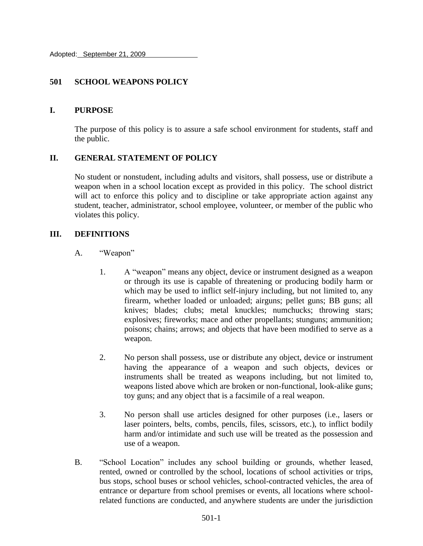Adopted: September 21, 2009

### **501 SCHOOL WEAPONS POLICY**

### **I. PURPOSE**

The purpose of this policy is to assure a safe school environment for students, staff and the public.

### **II. GENERAL STATEMENT OF POLICY**

No student or nonstudent, including adults and visitors, shall possess, use or distribute a weapon when in a school location except as provided in this policy. The school district will act to enforce this policy and to discipline or take appropriate action against any student, teacher, administrator, school employee, volunteer, or member of the public who violates this policy.

### **III. DEFINITIONS**

- A. "Weapon"
	- 1. A "weapon" means any object, device or instrument designed as a weapon or through its use is capable of threatening or producing bodily harm or which may be used to inflict self-injury including, but not limited to, any firearm, whether loaded or unloaded; airguns; pellet guns; BB guns; all knives; blades; clubs; metal knuckles; numchucks; throwing stars; explosives; fireworks; mace and other propellants; stunguns; ammunition; poisons; chains; arrows; and objects that have been modified to serve as a weapon.
	- 2. No person shall possess, use or distribute any object, device or instrument having the appearance of a weapon and such objects, devices or instruments shall be treated as weapons including, but not limited to, weapons listed above which are broken or non-functional, look-alike guns; toy guns; and any object that is a facsimile of a real weapon.
	- 3. No person shall use articles designed for other purposes (i.e., lasers or laser pointers, belts, combs, pencils, files, scissors, etc.), to inflict bodily harm and/or intimidate and such use will be treated as the possession and use of a weapon.
- B. "School Location" includes any school building or grounds, whether leased, rented, owned or controlled by the school, locations of school activities or trips, bus stops, school buses or school vehicles, school-contracted vehicles, the area of entrance or departure from school premises or events, all locations where schoolrelated functions are conducted, and anywhere students are under the jurisdiction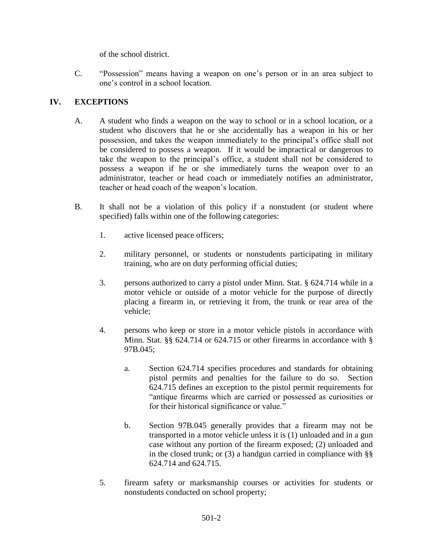of the school district.

C. "Possession" means having a weapon on one's person or in an area subject to one's control in a school location.

## **IV. EXCEPTIONS**

- A. A student who finds a weapon on the way to school or in a school location, or a student who discovers that he or she accidentally has a weapon in his or her possession, and takes the weapon immediately to the principal's office shall not be considered to possess a weapon. If it would be impractical or dangerous to take the weapon to the principal's office, a student shall not be considered to possess a weapon if he or she immediately turns the weapon over to an administrator, teacher or head coach or immediately notifies an administrator, teacher or head coach of the weapon's location.
- B. It shall not be a violation of this policy if a nonstudent (or student where specified) falls within one of the following categories:
	- 1. active licensed peace officers;
	- 2. military personnel, or students or nonstudents participating in military training, who are on duty performing official duties;
	- 3. persons authorized to carry a pistol under Minn. Stat. § 624.714 while in a motor vehicle or outside of a motor vehicle for the purpose of directly placing a firearm in, or retrieving it from, the trunk or rear area of the vehicle;
	- 4. persons who keep or store in a motor vehicle pistols in accordance with Minn. Stat. §§ 624.714 or 624.715 or other firearms in accordance with § 97B.045;
		- a. Section 624.714 specifies procedures and standards for obtaining pistol permits and penalties for the failure to do so. Section 624.715 defines an exception to the pistol permit requirements for "antique firearms which are carried or possessed as curiosities or for their historical significance or value."
		- b. Section 97B.045 generally provides that a firearm may not be transported in a motor vehicle unless it is (1) unloaded and in a gun case without any portion of the firearm exposed; (2) unloaded and in the closed trunk; or  $(3)$  a handgun carried in compliance with §§ 624.714 and 624.715.
	- 5. firearm safety or marksmanship courses or activities for students or nonstudents conducted on school property;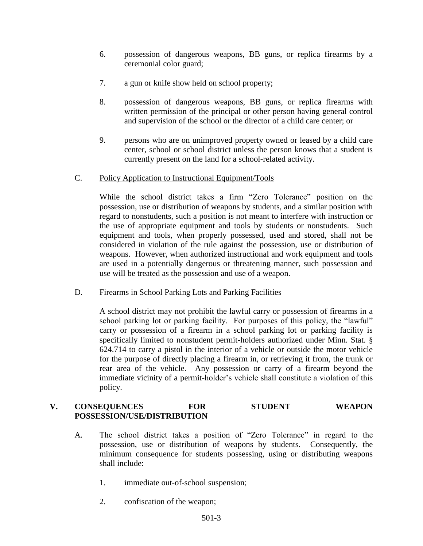- 6. possession of dangerous weapons, BB guns, or replica firearms by a ceremonial color guard;
- 7. a gun or knife show held on school property;
- 8. possession of dangerous weapons, BB guns, or replica firearms with written permission of the principal or other person having general control and supervision of the school or the director of a child care center; or
- 9. persons who are on unimproved property owned or leased by a child care center, school or school district unless the person knows that a student is currently present on the land for a school-related activity.
- C. Policy Application to Instructional Equipment/Tools

While the school district takes a firm "Zero Tolerance" position on the possession, use or distribution of weapons by students, and a similar position with regard to nonstudents, such a position is not meant to interfere with instruction or the use of appropriate equipment and tools by students or nonstudents. Such equipment and tools, when properly possessed, used and stored, shall not be considered in violation of the rule against the possession, use or distribution of weapons. However, when authorized instructional and work equipment and tools are used in a potentially dangerous or threatening manner, such possession and use will be treated as the possession and use of a weapon.

D. Firearms in School Parking Lots and Parking Facilities

A school district may not prohibit the lawful carry or possession of firearms in a school parking lot or parking facility. For purposes of this policy, the "lawful" carry or possession of a firearm in a school parking lot or parking facility is specifically limited to nonstudent permit-holders authorized under Minn. Stat. § 624.714 to carry a pistol in the interior of a vehicle or outside the motor vehicle for the purpose of directly placing a firearm in, or retrieving it from, the trunk or rear area of the vehicle. Any possession or carry of a firearm beyond the immediate vicinity of a permit-holder's vehicle shall constitute a violation of this policy.

## **V. CONSEQUENCES FOR STUDENT WEAPON POSSESSION/USE/DISTRIBUTION**

- A. The school district takes a position of "Zero Tolerance" in regard to the possession, use or distribution of weapons by students. Consequently, the minimum consequence for students possessing, using or distributing weapons shall include:
	- 1. immediate out-of-school suspension;
	- 2. confiscation of the weapon;